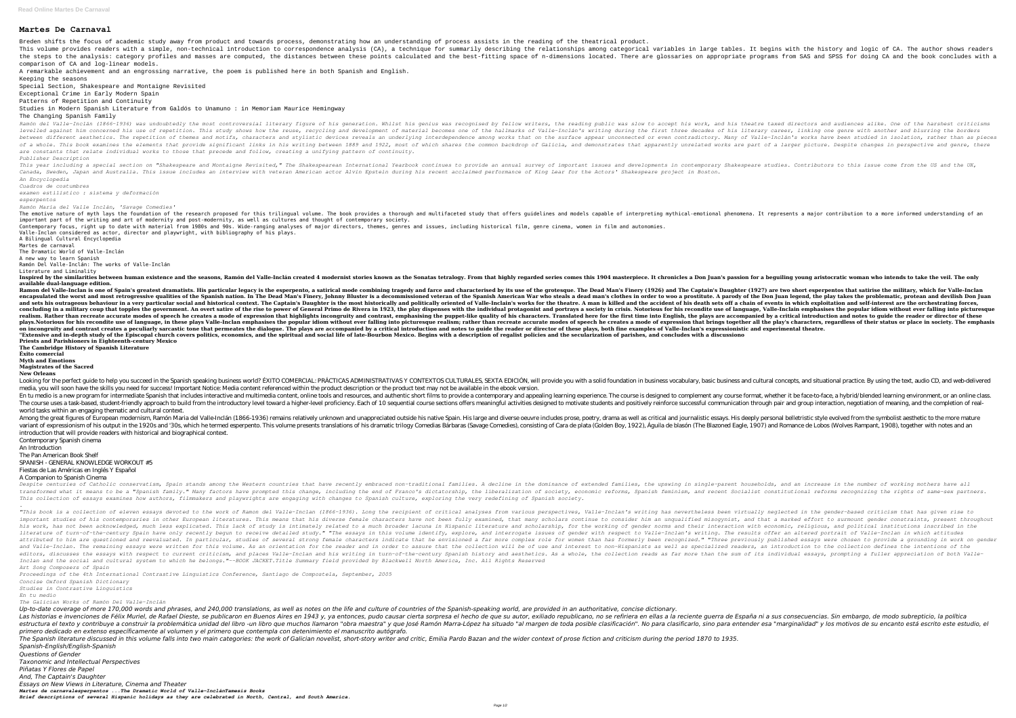## **Martes De Carnaval**

Breden shifts the focus of academic study away from product and towards process, demonstrating how an understanding of process assists in the reading of the theatrical product. This volume provides readers with a simple, non-technical introduction to correspondence analysis (CA), a technique for summarily describing the relationships among categorical variables in large tables. It begins with the the steps to the analysis: category profiles and masses are computed, the distances between these points calculated and the best-fitting space of n-dimensions located. There are glossaries on appropriate programs from SAS comparison of CA and log-linear models.

A remarkable achievement and an engrossing narrative, the poem is published here in both Spanish and English. Keeping the seasons

Special Section, Shakespeare and Montaigne Revisited

Exceptional Crime in Early Modern Spain

Patterns of Repetition and Continuity

Studies in Modern Spanish Literature from Galdós to Unamuno : in Memoriam Maurice Hemingway

The Changing Spanish Family

Ramón del Valle-Inclán (1866–1936) was undoubtedly the most controversial literary figure of his generation. Whilst his generation. Whilst his genius was recognised by fellow writers, the reading public was slow to accept levelled against him concerned his use of repetition. This study shows how the reuse, recycling and development of material becomes one of the hallmarks of valle-Inclán's writing during the first three decades of his liter between different aesthetics. The repetition of themes and motifs, characters and stylistic devices reveals an underlying interdependence among works that on the surface appear unconnected or even contradictory. Many of Va of a whole. This book examines the elements that provide significant links in his writing between 1889 and 1922, most of which shares the common backdrop of Galicia, and demonstrates that apparently unrelated works are par *are constants that relate individual works to those that precede and follow, creating a unifying pattern of continuity. Publisher Description*

This year including a special section on "Shakespeare and Montaigne Revisited," The Shakespearean International Yearbook continues to provide an annual survey of important issues and developments in contemporary Shakespear *Canada, Sweden, Japan and Australia. This issue includes an interview with veteran American actor Alvin Epstein during his recent acclaimed performance of King Lear for the Actors' Shakespeare project in Boston. An Encyclopedia*

The emotive nature of myth lays the foundation of the research proposed for this trilingual volume. The book provides a thorough and multifaceted study that offers guidelines and models capable of interpreting mythical-emo important part of the writing and art of modernity and post-modernity, as well as cultures and thought of contemporary society. Contemporary focus, right up to date with material from 1980s and 90s. Wide-ranging analyses of major directors, themes, genres and issues, including historical film, genre cinema, women in film and autonomies. Valle-Inclan considered as actor, director and playwright, with bibliography of his plays.

Inspired by the similarities between human existence and the seasons, Ramón del Valle-Inclán created 4 modernist stories known as the Sonatas tetralogy. From that highly regarded series comes this 1904 masterpiece. It chro **available dual-language edition.**

*Cuadros de costumbres*

*examen estilístico : sistema y deformación*

*esperpentos*

*Ramón María del Valle Inclán, 'Savage Comedies'*

Ramon del Valle-Inclan is one of Spain's greatest dramatists. His particular legacy is the esperpento, a satirical mode combining tragedy and farce and characterised by its use of the grotesque. The Dead Man's Finery (1927 encapsulated the worst and most retrogressive qualities of the Spanish nation. In The Dead Man's Finery, Johnny Bluster is a decommissioned veteran of the Spanish American War who steals a dead man's clothes in order to wo and sets his outrageous behaviour in a very particular social and historical context. The Captain's Daughter is the most historically and politically oriented of Valle-Inclain's works for the theatre. A man is killed and t concluding in a military coup that topples the government. An overt satire of the rise to power of General Primo de Rivera in 1923, the play dispenses with the individual protagonist and portrays a society in crisis. Notor realism. Rather than recreate accurate modes of speech he creates a mode of expression that highlights incongruity and contrast, emphasising the puppet-like quality of his characters. Translated here for the first time int plays.Notorious for his recondite use of language, in these plays Valle-Inclan emphasises the popular idiom without ever falling into picturesque realism; rather than recreate accurate modes of speech he creates a mode of on incongruity and contrast creates a peculiarly sarcastic tone that permeates the dialogue. The plays are accompanied by a critical introduction and notes to guide the reader or director of these plays, both fine examples "Extensive and in-depth study of the Episcopal church covers politics, economics, and the spiritual and social life of late-Bourbon Mexico. Begins with a description of regalist policies and the secularization of parishes, **Priests and Parishioners in Eighteenth-century Mexico The Cambridge History of Spanish Literature**

A Bilingual Cultural Encyclopedia Martes de carnaval

The Dramatic World of Valle-Inclán

A new way to learn Spanish

Ramón Del Valle-Inclán: The works of Valle-Inclán

Literature and Liminality

Looking for the perfect guide to help you succeed in the Spanish speaking business world? ÉXITO COMERCIAL: PRÁCTICAS ADMINISTRATIVAS Y CONTEXTOS CULTURALES, SEXTA EDICIÓN, will provide you with a solid foundation in busine media, you will soon have the skills you need for success! Important Notice: Media content referenced within the product description or the product text may not be available in the ebook version. En tu medio is a new program for intermediate Spanish that includes interactive and multimedia content, online tools and resources, and authentic short films to provide a contemporary and appealing learning experience. The The course uses a task-based, student-friendly approach to build from the introductory level toward a higher-level proficiency. Each of 10 sequential course sections offers meaningful activities designed to motivate studen world tasks within an engaging thematic and cultural context.

Among the great figures of European modernism, Ramón Maria del Valle-Inclán (1866-1936) remains relatively unknown and unappreciated outside his native Spain. His large and diverse oeuvre includes prose, poetry, drama as w variant of expressionism of his output in the 1920s and '30s, which he termed esperpento. This volume presents translations of his dramatic trilogy Comedias Bárbaras (Savage Comedias Bárbaras (Savage Comedias Bárbaras (Sav introduction that will provide readers with historical and biographical context.

Despite centuries of Catholic conservatism, Spain stands among the Western countries that have recently embraced non-traditional families. A decline in the dominance of extended families, the upswing in single-parent house transformed what it means to be a "Spanish family." Many factors have prompted this change, including the end of Franco's dictatorship, the liberalization of society, economic reforms, Spanish feminism, and recent Socialis *This collection of essays examines how authors, filmmakers and playwrights are engaging with changes to Spanish culture, exploring the very redefining of Spanish society. .*

"This book is a collection of eleven essays devoted to the work of Ramon del Valle-Inclan (1866-1936). Long the recipient of critical analyses from various perspectives, Valle-Inclan's writing has nevertheless been virtual important studies of his contemporaries in other European literatures. This means that his diverse female characters have not been fully examined, that a and that a marked effort to surmount gender constraints, present thr his work, has not been acknowledged, much less explicated. This lack of study is intimately related to a much broader lacuna in Hispanic literature and scholarship, for the working of gender norms and their interaction wit literature of turn-of-the-century Spain have only recently begun to receive detailed study." "The essays in this volume identify, explore, and interrogate issues of gender with respect to Valle-Inclan's writing. The result attributed to him are questioned and reevaluated. In particular, studies of several strong female characters indicate that he envisioned a far more complex role for women than has formerly been recognized." "Three previous and Valle-Inclan. The remaining essays were written for this volume. As an orientation for the reader and in order to assure that the collection will be of use and interest to non-Hispanists as well as specialized readers, editors, discusses the essays with respect to current criticism, and places Valle-Inclan and his writing in turn-of-the-century Spanish history and aesthetics. As a whole, the collection reads as far more than the sum of i *Inclan and the social and cultural system to which he belongs."--BOOK JACKET.Title Summary field provided by Blackwell North America, Inc. All Rights Reserved Art Song Composers of Spain*

Up-to-date coverage of more 170,000 words and phrases, and 240,000 translations, as well as notes on the life and culture of countries of the Spanish-speaking world, are provided in an authoritative, concise dictionary. Las historias e invenciones de Félix Muriel, de Rafael Dieste, se publicaron en Buenos Aires en 1943 y, ya entonces, pudo causar cierta sorpresa el hecho de que su autor, exiliado republicano, no se refiriera en ellas a la estructura el texto y contribuye a construir la problemática unidad del libro -un libro que muchos llamaron "obra maestra" y que José Ramón Marra-López ha situado "al margen de toda posible clasificarlo, sino para entender *primero dedicado en extenso específicamente al volumen y el primero que contempla con detenimiento el manuscrito autógrafo.* The Spanish literature discussed in this volume falls into two main categories: the work of Galician novelist, short-story writer and critic, Emilia Pardo Bazan and the wider context of prose fiction and criticism during t *Spanish-English/English-Spanish*

**Éxito comercial**

**Myth and Emotions**

## **Magistrates of the Sacred**

**New Orleans**

Contemporary Spanish cinema

An Introduction

The Pan American Book Shelf

SPANISH - GENERAL KNOWLEDGE WORKOUT #5

Fiestas de Las Américas en Inglés Y Español

A Companion to Spanish Cinema

*Proceedings of the 4th International Contrastive Linguistics Conference, Santiago de Compostela, September, 2005 Concise Oxford Spanish Dictionary*

*Studies in Contrastive Linguistics*

*En tu medio*

*The Galician Works of Ramón Del Valle-Inclán*

*Questions of Gender*

*Taxonomic and Intellectual Perspectives*

*Piñatas Y Flores de Papel*

*And, The Captain's Daughter*

*Essays on New Views in Literature, Cinema and Theater*

*Martes de carnavalesperpentos ...The Dramatic World of Valle-InclánTamesis Books*

*Brief descriptions of several Hispanic holidays as they are celebrated in North, Central, and South America.*